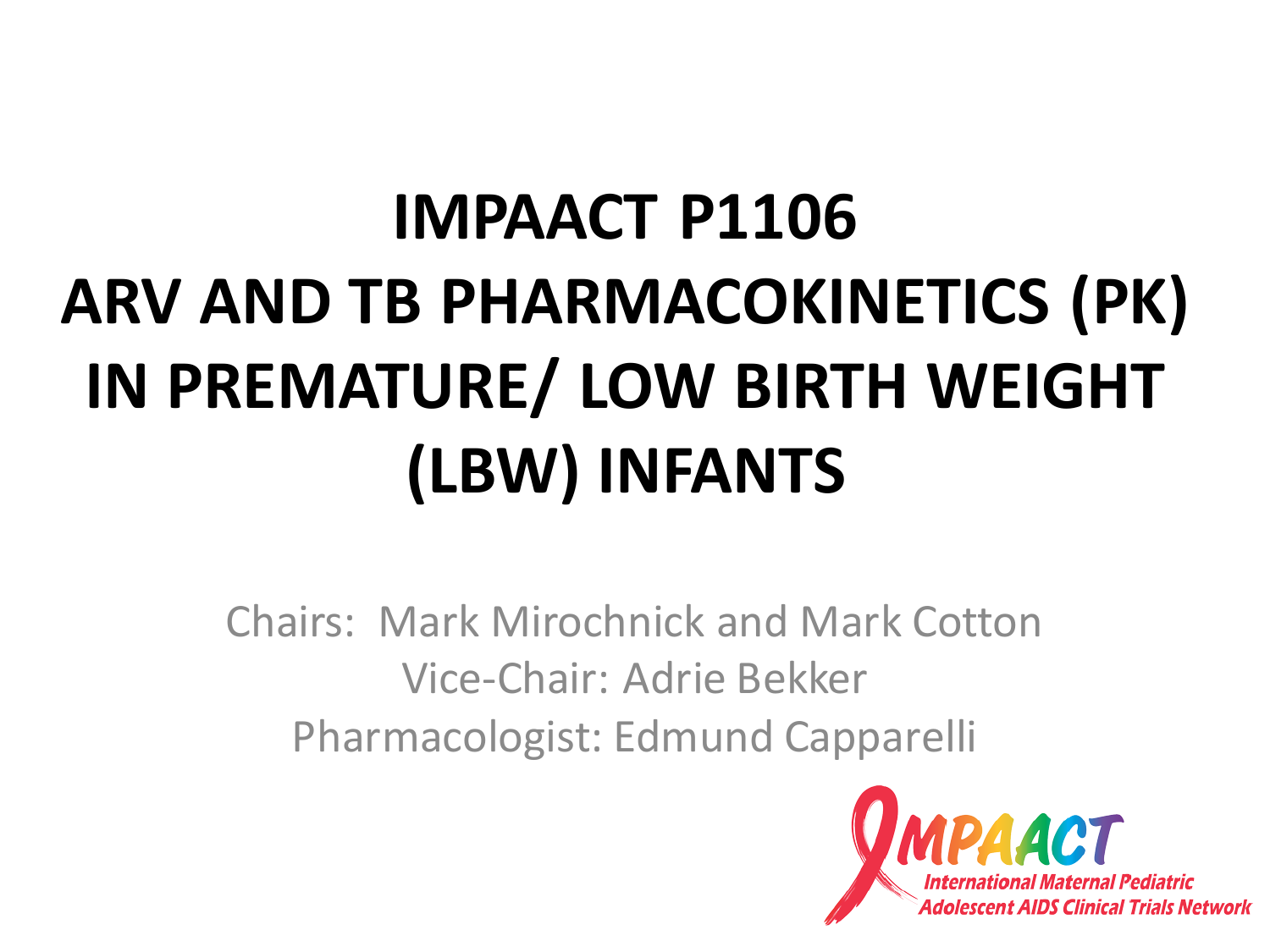# **IMPAACT P1106 ARV AND TB PHARMACOKINETICS (PK) IN PREMATURE/ LOW BIRTH WEIGHT (LBW) INFANTS**

Chairs: Mark Mirochnick and Mark Cotton Vice-Chair: Adrie Bekker Pharmacologist: Edmund Capparelli

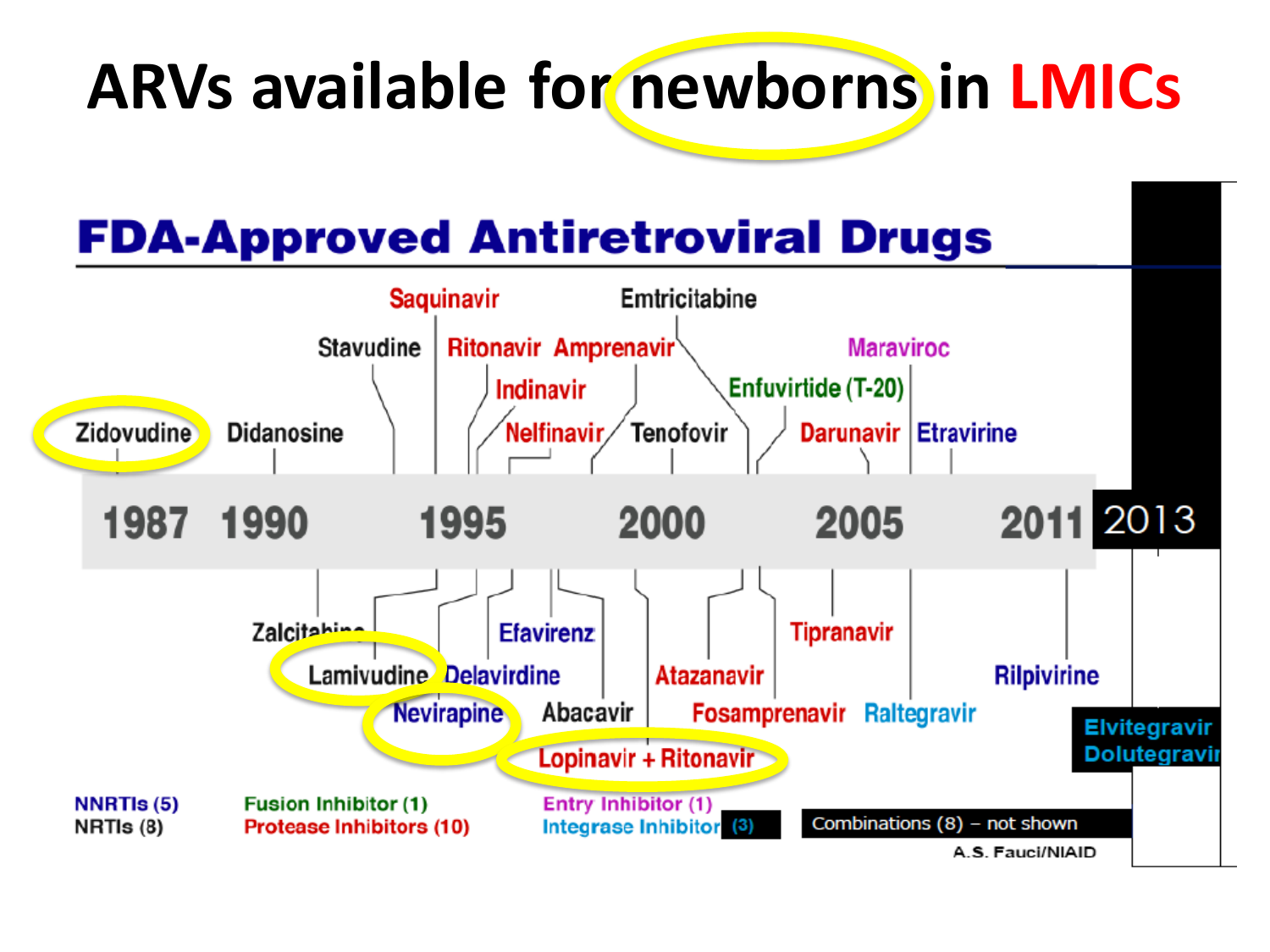### **ARVs available for newborns in LMICs**

#### **FDA-Approved Antiretroviral Drugs**

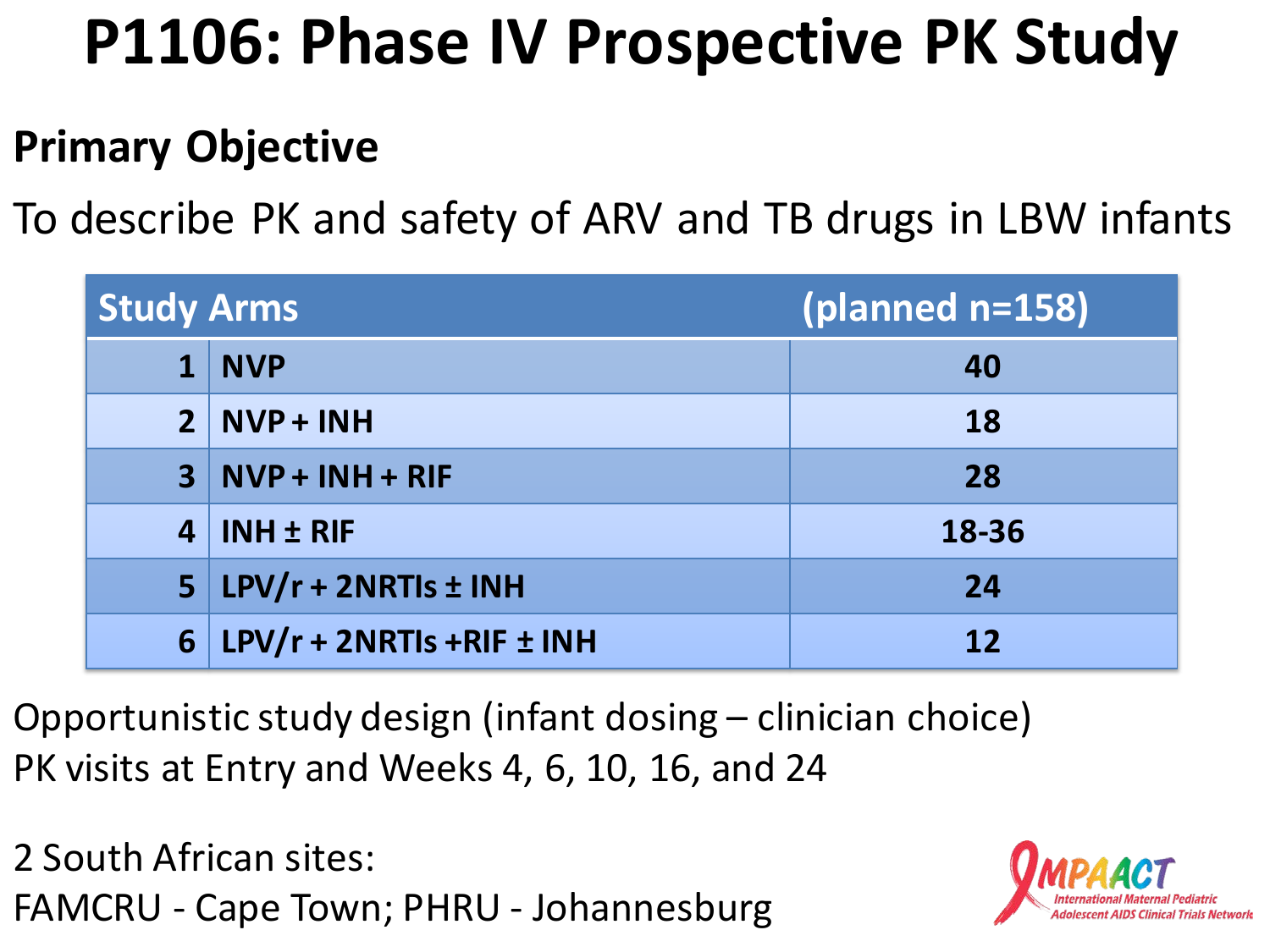## **P1106: Phase IV Prospective PK Study**

#### **Primary Objective**

To describe PK and safety of ARV and TB drugs in LBW infants

| <b>Study Arms</b> |                           | (planned n=158) |
|-------------------|---------------------------|-----------------|
| $\mathbf{1}$      | <b>NVP</b>                | 40              |
|                   | $2 NVP + INH$             | <b>18</b>       |
|                   | $3$ NVP + INH + RIF       | 28              |
| $\overline{4}$    | <b>INH ± RIF</b>          | 18-36           |
|                   | $5$ LPV/r + 2NRTIs ± INH  | 24              |
| 6                 | LPV/r + 2NRTIs +RIF ± INH | 12              |

Opportunistic study design (infant dosing – clinician choice) PK visits at Entry and Weeks 4, 6, 10, 16, and 24

2 South African sites: FAMCRU - Cape Town; PHRU - Johannesburg

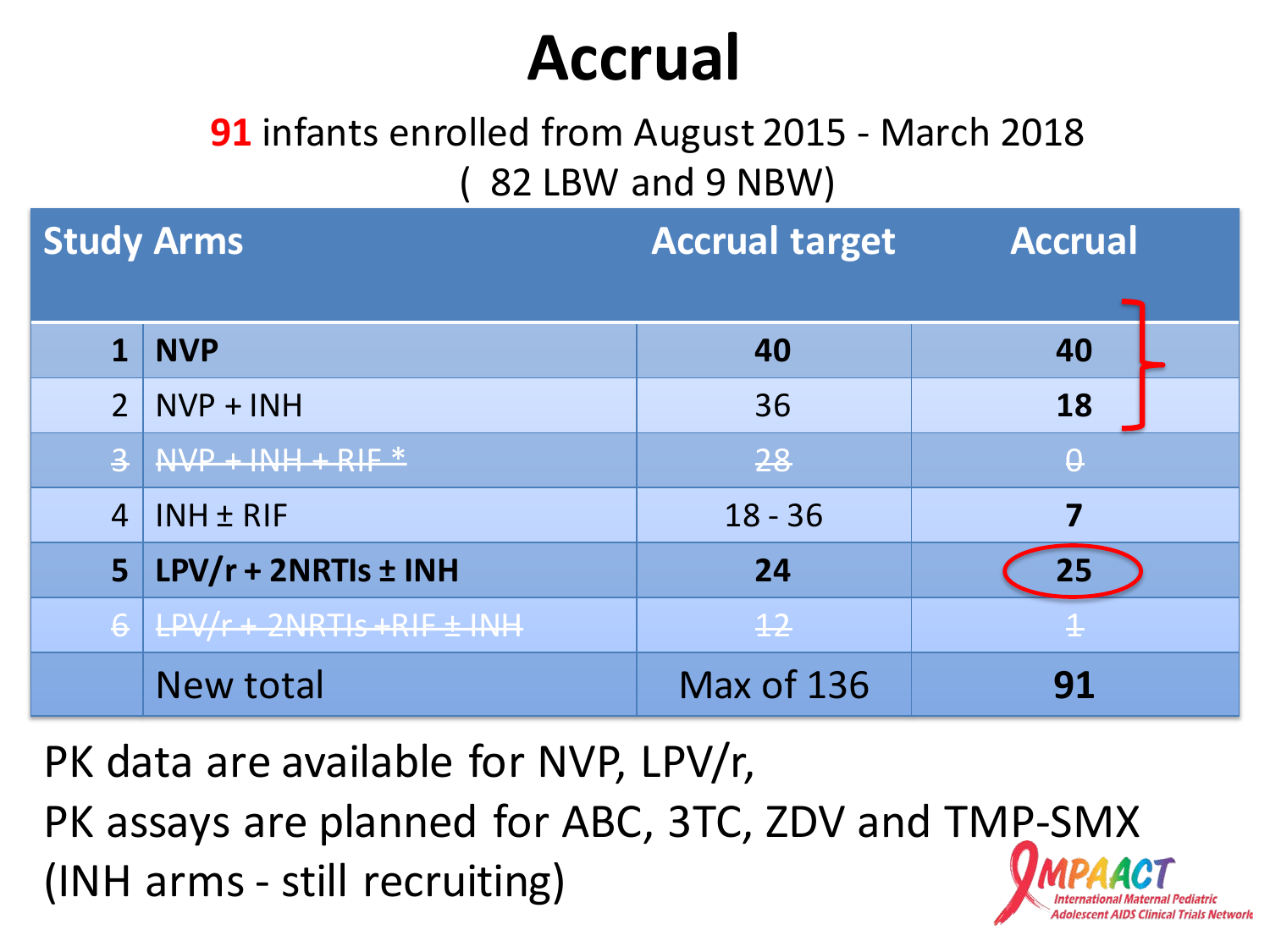### **Accrual**

#### **91** infants enrolled from August 2015 - March 2018 ( 82 LBW and 9 NBW)

| <b>Study Arms</b>       |                                | <b>Accrual target</b> | <b>Accrual</b> |  |
|-------------------------|--------------------------------|-----------------------|----------------|--|
|                         |                                |                       |                |  |
| 1                       | <b>NVP</b>                     | 40                    | 40             |  |
| $\overline{2}$          | $NVP + INH$                    | 36                    | 18             |  |
| $\overline{\mathbf{3}}$ | $\sqrt{NVP + INH + RIF}$       | 28                    | $\Theta$       |  |
| $\overline{4}$          | <b>INH ± RIF</b>               | $18 - 36$             | 7              |  |
| 5                       | LPV/r + 2NRTIs ± INH           | 24                    | 25             |  |
| $6 \overline{6}$        | $LPV/r + 2NRTIs + RIF \pm INH$ | $\overline{12}$       |                |  |
|                         | <b>New total</b>               | Max of 136            | 91             |  |

PK data are available for NVP, LPV/r, PK assays are planned for ABC, 3TC, ZDV and TMP-SMX (INH arms - still recruiting)

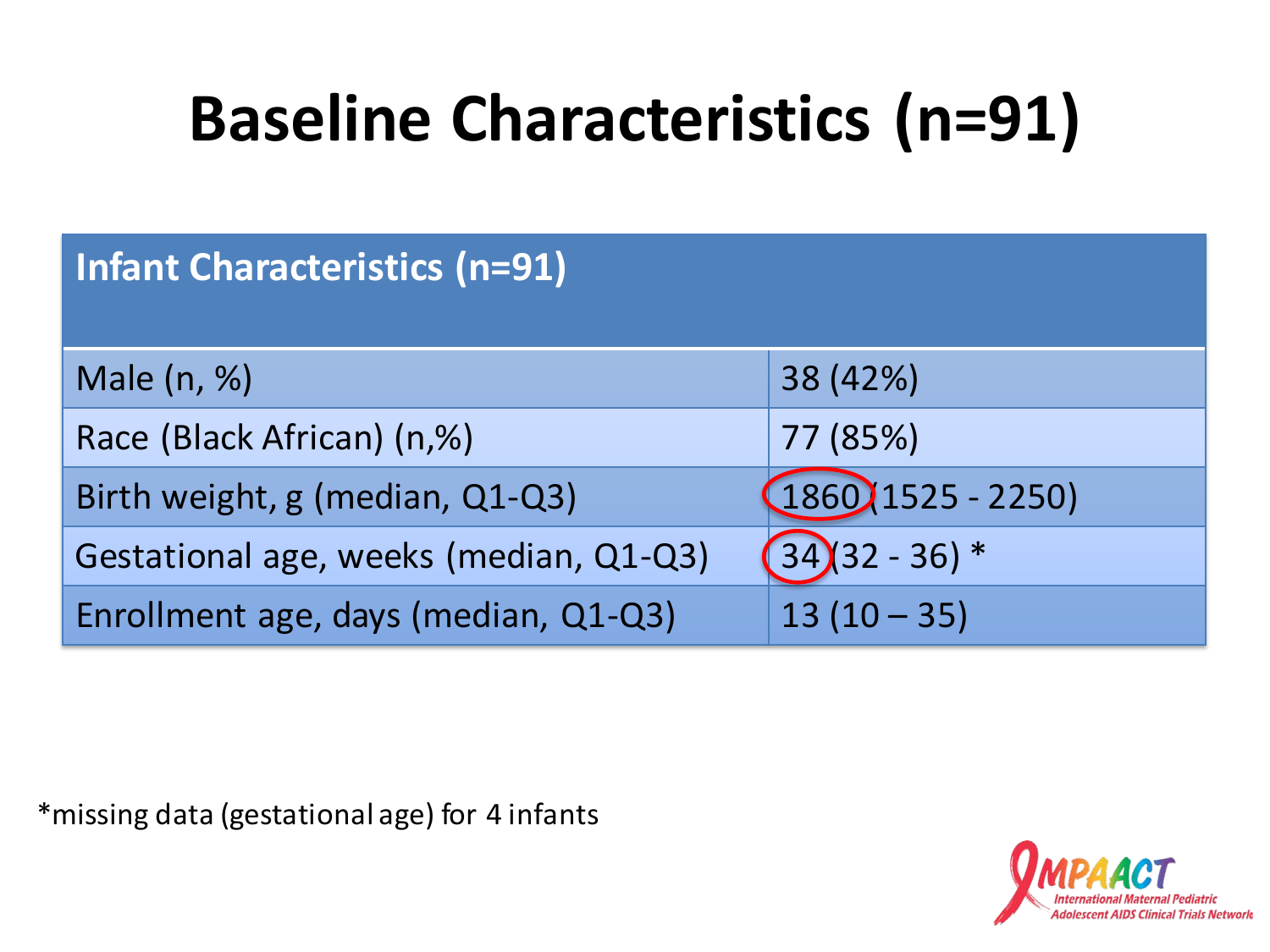## **Baseline Characteristics (n=91)**

| <b>Infant Characteristics (n=91)</b>   |                       |  |  |
|----------------------------------------|-----------------------|--|--|
| Male (n, %)                            | 38 (42%)              |  |  |
| Race (Black African) (n,%)             | 77 (85%)              |  |  |
| Birth weight, g (median, Q1-Q3)        | $(1860)(1525 - 2250)$ |  |  |
| Gestational age, weeks (median, Q1-Q3) | $34(32 - 36) *$       |  |  |
| Enrollment age, days (median, Q1-Q3)   | $13(10-35)$           |  |  |

\*missing data (gestational age) for 4 infants

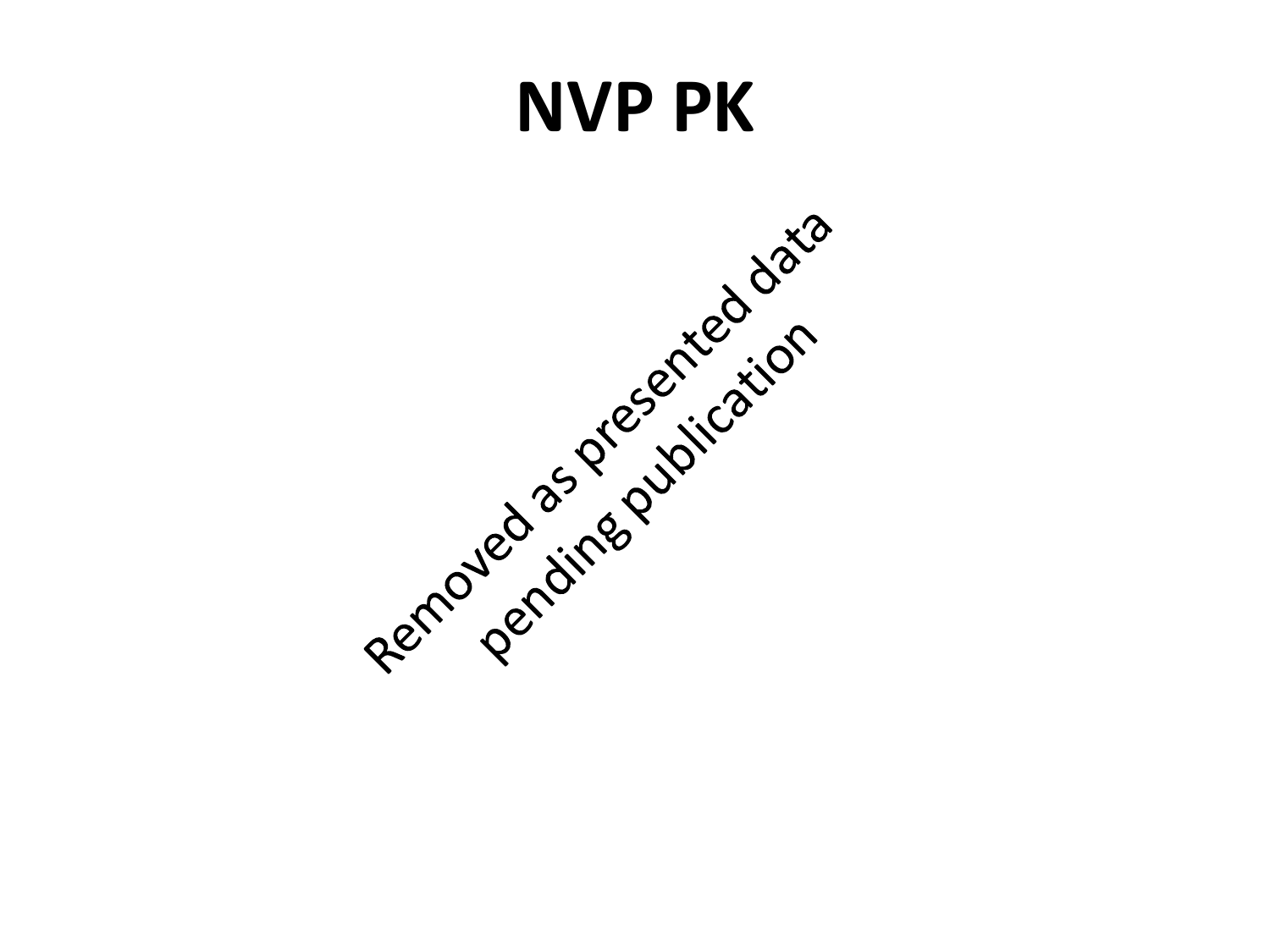### **NVP PK**

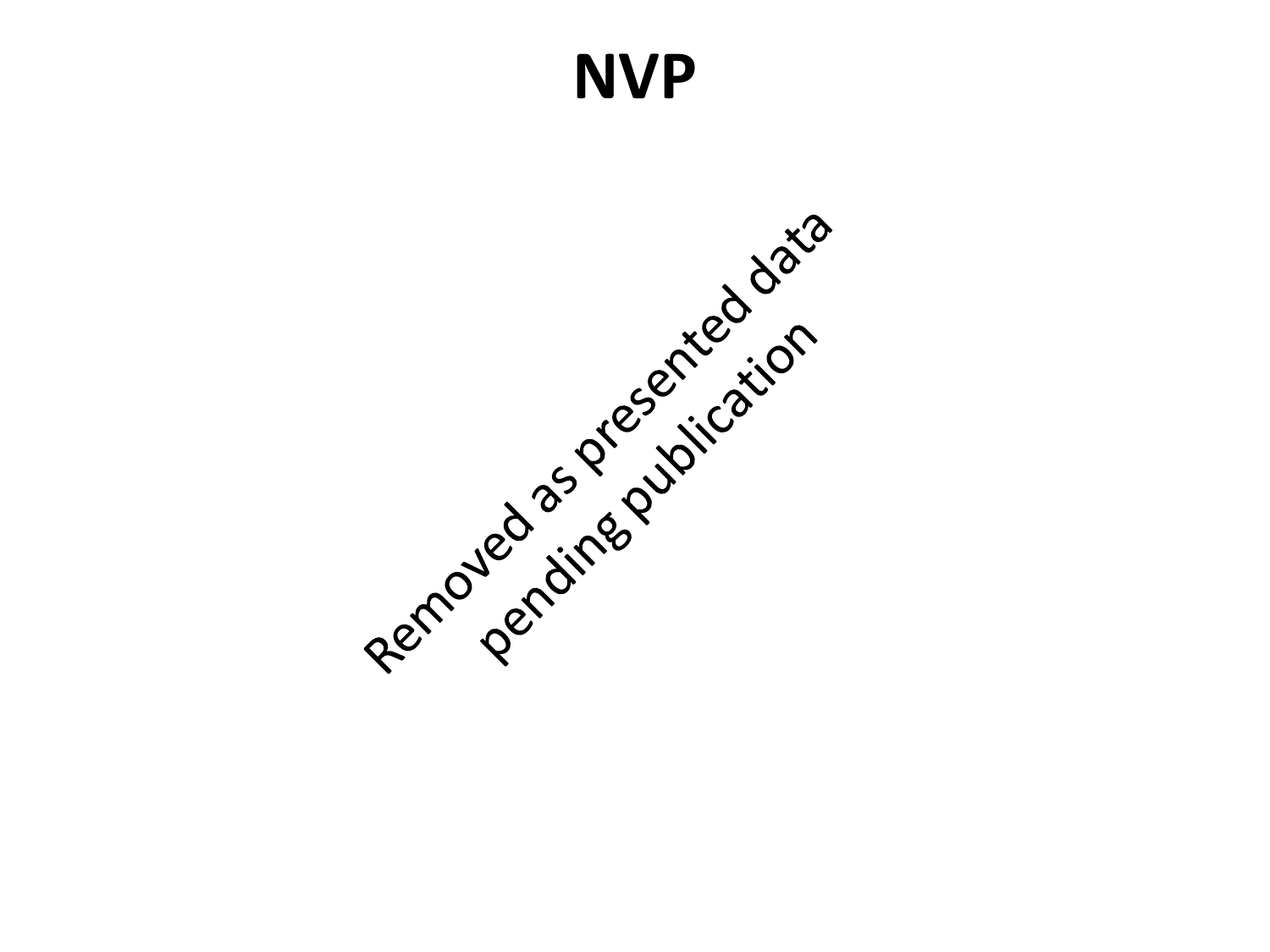#### **NVP**

Removed as pregnted data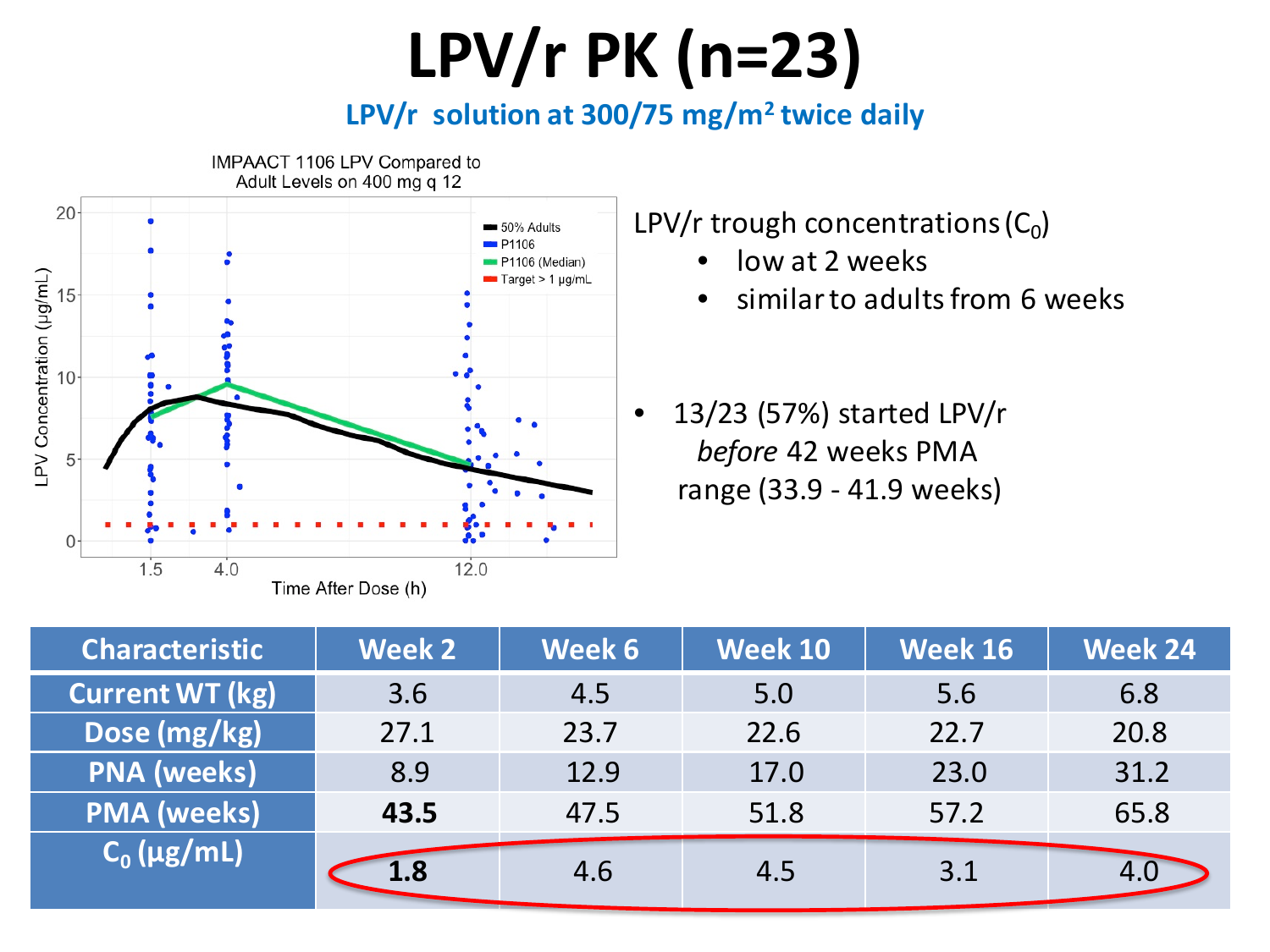## **LPV/r PK (n=23)**

**LPV/r solution at 300/75 mg/m2 twice daily**



LPV/r trough concentrations  $(C_0)$ 

- low at 2 weeks
- similar to adults from 6 weeks
- 13/23 (57%) started LPV/r *before* 42 weeks PMA range (33.9 - 41.9 weeks)

| <b>Characteristic</b>  | <b>Week 2</b> | Week 6 | <b>Week 10</b> | <b>Week 16</b> | <b>Week 24</b> |
|------------------------|---------------|--------|----------------|----------------|----------------|
| <b>Current WT (kg)</b> | 3.6           | 4.5    | 5.0            | 5.6            | 6.8            |
| Dose (mg/kg)           | 27.1          | 23.7   | 22.6           | 22.7           | 20.8           |
| <b>PNA</b> (weeks)     | 8.9           | 12.9   | 17.0           | 23.0           | 31.2           |
| <b>PMA</b> (weeks)     | 43.5          | 47.5   | 51.8           | 57.2           | 65.8           |
| $C_0$ (µg/mL)          | 1.8           | 4.6    | 4.5            | 3.1            |                |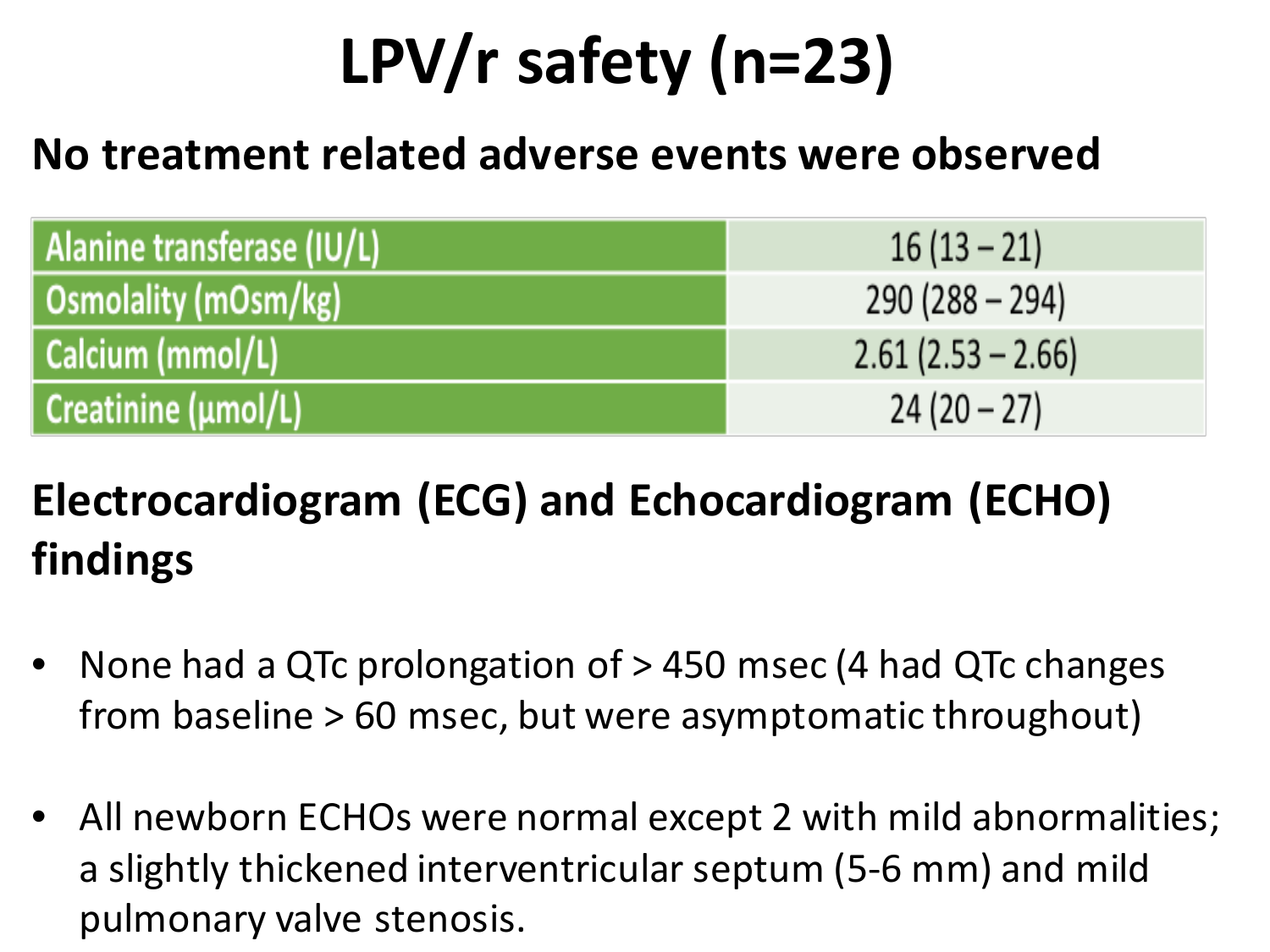# **LPV/r safety (n=23)**

#### **No treatment related adverse events were observed**

| Alanine transferase (IU/L) | $16(13-21)$         |
|----------------------------|---------------------|
| Osmolality (mOsm/kg)       | $290(288 - 294)$    |
| Calcium (mmol/L)           | $2.61(2.53 - 2.66)$ |
| Creatinine (umol/L)        | $24(20-27)$         |

#### **Electrocardiogram (ECG) and Echocardiogram (ECHO) findings**

- None had a QTc prolongation of > 450 msec (4 had QTc changes from baseline > 60 msec, but were asymptomatic throughout)
- All newborn ECHOs were normal except 2 with mild abnormalities; a slightly thickened interventricular septum (5-6 mm) and mild pulmonary valve stenosis.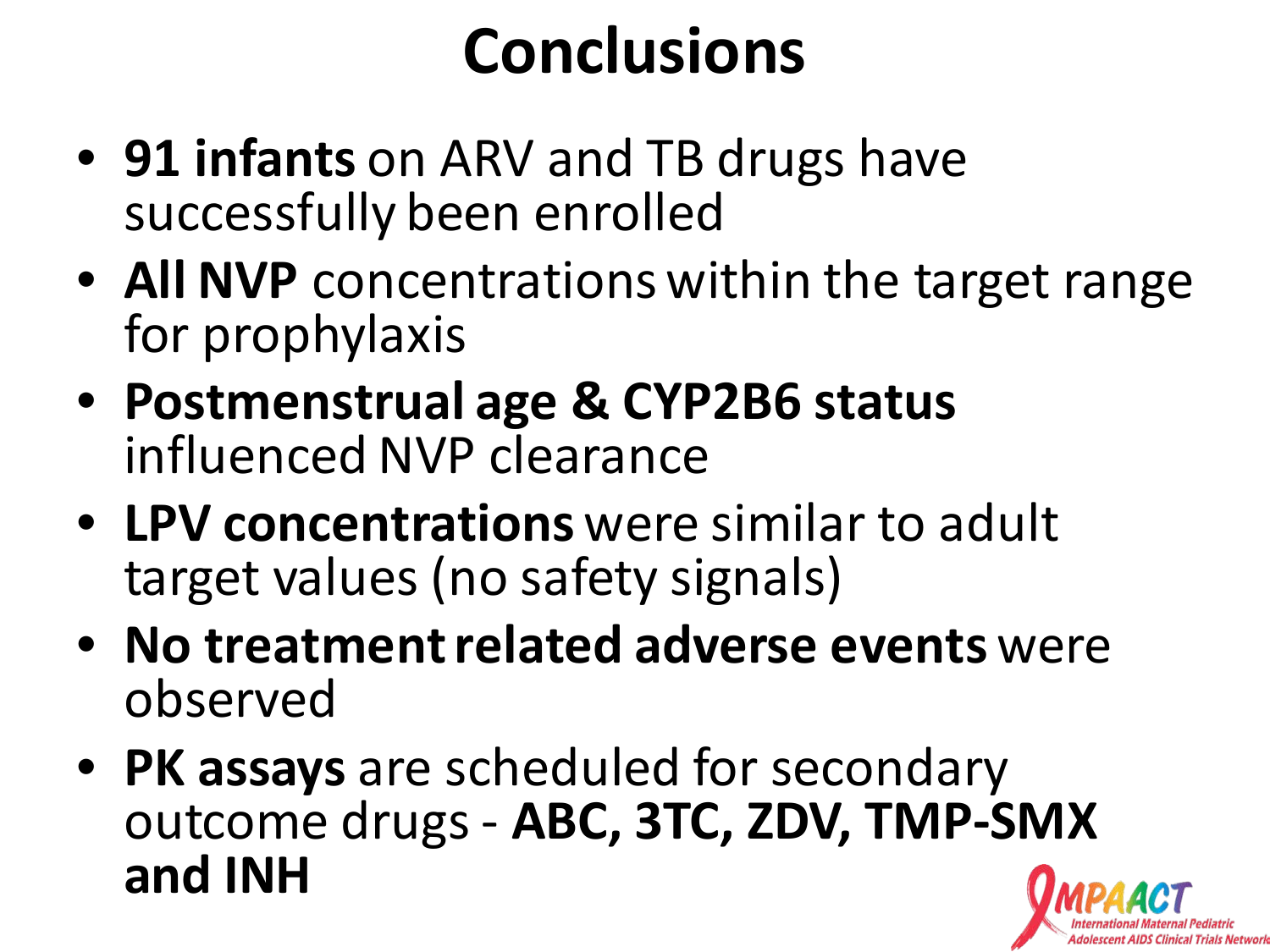## **Conclusions**

- **91 infants** on ARV and TB drugs have successfully been enrolled
- **All NVP** concentrations within the target range for prophylaxis
- **Postmenstrual age & CYP2B6 status**  influenced NVP clearance
- **LPV concentrations** were similar to adult target values (no safety signals)
- **No treatment related adverse events** were observed
- **PK assays** are scheduled for secondary outcome drugs - **ABC, 3TC, ZDV, TMP-SMX and INH**